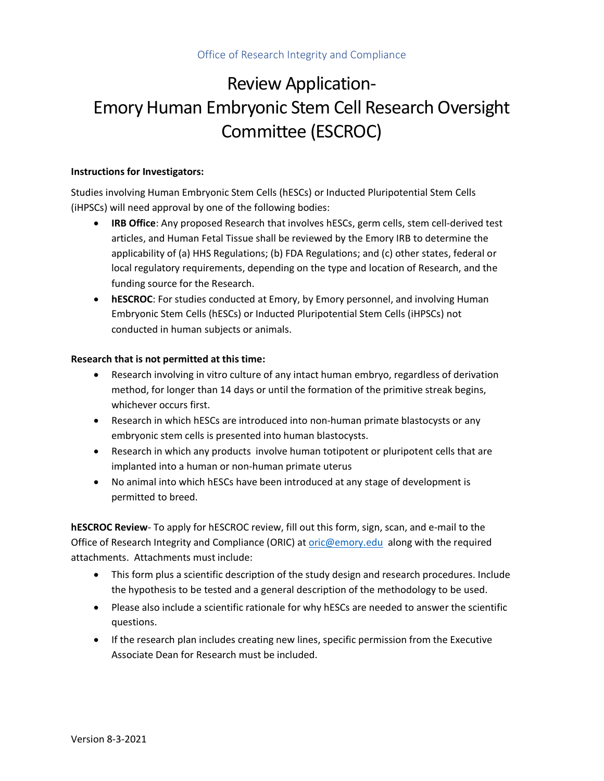## Review Application-Emory Human Embryonic Stem Cell Research Oversight Committee (ESCROC)

## **Instructions for Investigators:**

Studies involving Human Embryonic Stem Cells (hESCs) or Inducted Pluripotential Stem Cells (iHPSCs) will need approval by one of the following bodies:

- **IRB Office**: Any proposed Research that involves hESCs, germ cells, stem cell-derived test articles, and Human Fetal Tissue shall be reviewed by the Emory IRB to determine the applicability of (a) HHS Regulations; (b) FDA Regulations; and (c) other states, federal or local regulatory requirements, depending on the type and location of Research, and the funding source for the Research.
- **hESCROC**: For studies conducted at Emory, by Emory personnel, and involving Human Embryonic Stem Cells (hESCs) or Inducted Pluripotential Stem Cells (iHPSCs) not conducted in human subjects or animals.

## **Research that is not permitted at this time:**

- Research involving in vitro culture of any intact human embryo, regardless of derivation method, for longer than 14 days or until the formation of the primitive streak begins, whichever occurs first.
- Research in which hESCs are introduced into non-human primate blastocysts or any embryonic stem cells is presented into human blastocysts.
- Research in which any products involve human totipotent or pluripotent cells that are implanted into a human or non-human primate uterus
- No animal into which hESCs have been introduced at any stage of development is permitted to breed.

**hESCROC Review**- To apply for hESCROC review, fill out this form, sign, scan, and e-mail to the Office of Research Integrity and Compliance (ORIC) at [oric@emory.edu](mailto:oric@emory.edu) along with the required attachments. Attachments must include:

- This form plus a scientific description of the study design and research procedures. Include the hypothesis to be tested and a general description of the methodology to be used.
- Please also include a scientific rationale for why hESCs are needed to answer the scientific questions.
- If the research plan includes creating new lines, specific permission from the Executive Associate Dean for Research must be included.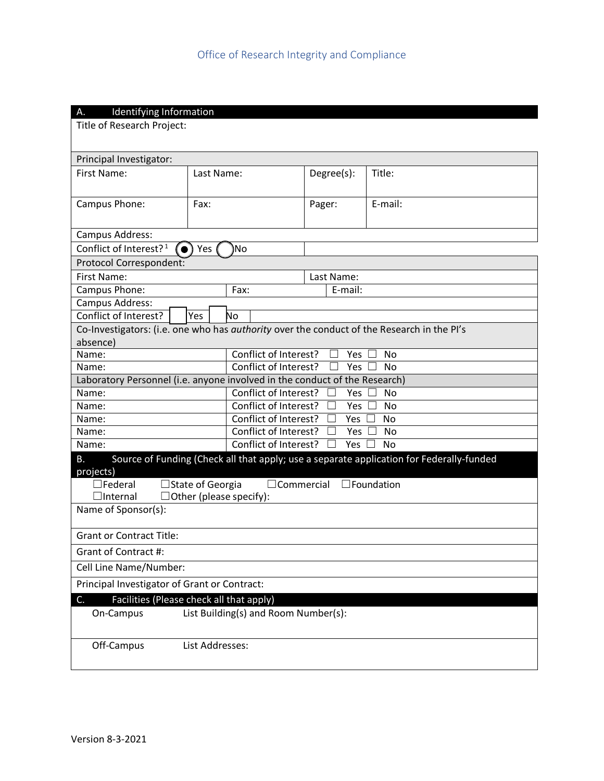| Identifying Information<br>Α.                                                                                 |                                      |                                                      |            |                                                                                          |  |
|---------------------------------------------------------------------------------------------------------------|--------------------------------------|------------------------------------------------------|------------|------------------------------------------------------------------------------------------|--|
| Title of Research Project:                                                                                    |                                      |                                                      |            |                                                                                          |  |
|                                                                                                               |                                      |                                                      |            |                                                                                          |  |
| Principal Investigator:                                                                                       |                                      |                                                      |            |                                                                                          |  |
| First Name:                                                                                                   | Last Name:                           |                                                      | Degree(s): | Title:                                                                                   |  |
|                                                                                                               |                                      |                                                      |            |                                                                                          |  |
|                                                                                                               | Fax:                                 |                                                      |            | E-mail:                                                                                  |  |
| Campus Phone:                                                                                                 |                                      |                                                      | Pager:     |                                                                                          |  |
|                                                                                                               |                                      |                                                      |            |                                                                                          |  |
| Campus Address:                                                                                               |                                      |                                                      |            |                                                                                          |  |
| Conflict of Interest? <sup>1</sup>                                                                            | Yes                                  | No                                                   |            |                                                                                          |  |
| Protocol Correspondent:                                                                                       |                                      |                                                      |            |                                                                                          |  |
| First Name:                                                                                                   |                                      | Last Name:                                           |            |                                                                                          |  |
| Campus Phone:                                                                                                 | Fax:                                 | E-mail:                                              |            |                                                                                          |  |
| Campus Address:<br>Conflict of Interest?                                                                      |                                      | No                                                   |            |                                                                                          |  |
|                                                                                                               | Yes                                  |                                                      |            |                                                                                          |  |
| Co-Investigators: (i.e. one who has <i>authority</i> over the conduct of the Research in the PI's<br>absence) |                                      |                                                      |            |                                                                                          |  |
| Name:                                                                                                         |                                      | Conflict of Interest?                                | Yes        | <b>No</b>                                                                                |  |
| Name:                                                                                                         |                                      | Conflict of Interest?<br>Yes<br><b>No</b>            |            |                                                                                          |  |
| Laboratory Personnel (i.e. anyone involved in the conduct of the Research)                                    |                                      |                                                      |            |                                                                                          |  |
| Name:                                                                                                         |                                      | Conflict of Interest?<br>No<br><b>Yes</b><br>$\perp$ |            |                                                                                          |  |
| Name:                                                                                                         |                                      | Conflict of Interest?<br><b>No</b><br>$\Box$<br>Yes  |            |                                                                                          |  |
| Name:                                                                                                         |                                      | Conflict of Interest?<br>Yes<br><b>No</b>            |            |                                                                                          |  |
| Name:                                                                                                         |                                      | Conflict of Interest?<br>Yes<br>No<br>$\mathsf{L}$   |            |                                                                                          |  |
| Name:                                                                                                         |                                      | Conflict of Interest?<br>Yes<br><b>No</b>            |            |                                                                                          |  |
| В.                                                                                                            |                                      |                                                      |            | Source of Funding (Check all that apply; use a separate application for Federally-funded |  |
| projects)                                                                                                     |                                      |                                                      |            |                                                                                          |  |
| □State of Georgia<br>$\sqsupset$ Federal<br>$\Box$ Commercial<br>$\square$ Foundation                         |                                      |                                                      |            |                                                                                          |  |
| $\Box$ Internal<br>$\Box$ Other (please specify):<br>Name of Sponsor(s):                                      |                                      |                                                      |            |                                                                                          |  |
|                                                                                                               |                                      |                                                      |            |                                                                                          |  |
| <b>Grant or Contract Title:</b>                                                                               |                                      |                                                      |            |                                                                                          |  |
| Grant of Contract #:                                                                                          |                                      |                                                      |            |                                                                                          |  |
| Cell Line Name/Number:                                                                                        |                                      |                                                      |            |                                                                                          |  |
| Principal Investigator of Grant or Contract:                                                                  |                                      |                                                      |            |                                                                                          |  |
| Facilities (Please check all that apply)<br>C.                                                                |                                      |                                                      |            |                                                                                          |  |
| On-Campus                                                                                                     | List Building(s) and Room Number(s): |                                                      |            |                                                                                          |  |
|                                                                                                               |                                      |                                                      |            |                                                                                          |  |
| Off-Campus<br>List Addresses:                                                                                 |                                      |                                                      |            |                                                                                          |  |
|                                                                                                               |                                      |                                                      |            |                                                                                          |  |